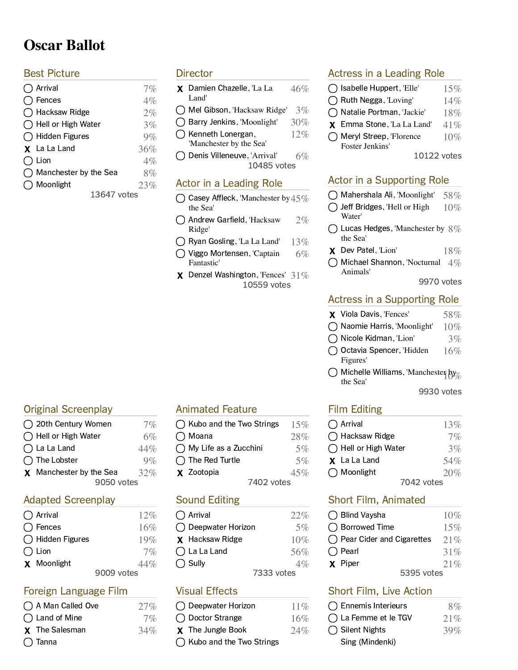# **Oscar Ballot**

#### **Best Picture**

| ) Arrival             | 7%  |
|-----------------------|-----|
| Fences                | 4%  |
| ◯ Hacksaw Ridge       | 2%  |
| ◯ Hell or High Water  | 3%  |
| ◯ Hidden Figures      | 9%  |
| <b>X</b> La La Land   | 36% |
|                       |     |
| Lion                  | 4%  |
| Manchester by the Sea | 8%  |
| ) Moonlight           | 23% |
| 13647 votes           |     |

#### **Director**

- **X** Damien Chazelle, 'La La  $46\%$ Land'
- $\bigcirc$  Mel Gibson, 'Hacksaw Ridge' 3%
- $\bigcap$  Barry Jenkins, 'Moonlight' 30%
- $\bigcirc$  Kenneth Lonergan,  $12\%$
- 'Manchester by the Sea'
- 10485 vote  $\bigcap$  Denis Villeneuve, 'Arrival' 6%

#### Actor in a Leading Role

- $\bigcap$  Casey Affleck, 'Manchester by 45% the Sea'
- $\bigcap$  Andrew Garfield, 'Hacksaw 2% Ridge'
- $\bigcirc$  Ryan Gosling, 'La La Land' 13%
- $\bigcap$  Viggo Mortensen, 'Captain 6% Fantastic'
- 10559 vote  $\boldsymbol{\chi}$  Denzel Washington, 'Fences' 31%

## Actress in a Leading Role

- $\bigcap$  Isabelle Huppert, 'Elle' 15%  $\bigcap$  Ruth Negga, 'Loving' 14%  $\bigcap$  Natalie Portman, 'Jackie' 18% **X** Emma Stone, 'La La Land'  $41\%$
- $\bigcap$  Meryl Streep, 'Florence 10%
- 10122 vote Foster Jenkins'

## Actor in a Supporting Role

- $\bigcirc$  Mahershala Ali, 'Moonlight' 58%
- $\bigcap$  Jeff Bridges, 'Hell or High 10%
- Water'
- $\bigcap$  Lucas Hedges, 'Manchester by  $8\%$ the Sea'
- $\boldsymbol{\chi}$  Dev Patel, 'Lion' 18%
- $\bigcap$  Michael Shannon, 'Nocturnal 4% Animals'

9970 vote

#### Actress in a Supporting Role

- **X** Viola Davis, 'Fences'  $58\%$
- $\bigcap$  Naomie Harris, 'Moonlight' 10%
- $\bigcirc$  Nicole Kidman, 'Lion' 3%
- $\bigcirc$  Octavia Spencer, 'Hidden 16% Figures'
- $\bigcap$  Michelle Williams, 'Manchester by the Sea'

9930 vote

#### **Film Editing**

| $\bigcap$ Arrival            | 13% |
|------------------------------|-----|
| $\bigcap$ Hacksaw Ridge      | 7%  |
| $\bigcap$ Hell or High Water | 3%  |
| <b>X</b> La La Land          | 54% |
| $\bigcap$ Moonlight          | 20% |
| 7042 votes                   |     |

## Short Film, Animated

| ◯ Blind Vaysha                      | 10%     |
|-------------------------------------|---------|
| ◯ Borrowed Time                     | 15%     |
| $\bigcap$ Pear Cider and Cigarettes | 21%     |
| $\bigcap$ Pearl                     | 31%     |
| X Piper                             | $2.1\%$ |
| 5395 votes                          |         |

## Short Film, Live Action

| $\bigcap$ Ennemis Interieurs | 8%     |
|------------------------------|--------|
| $\bigcap$ La Femme et le TGV | 21%    |
| $\bigcap$ Silent Nights      | $39\%$ |
| Sing (Mindenki)              |        |

#### Original Screenpla  $\bigcap$  20th Century Women  $70$

| U ZULII CEIILUI V WOITIEIT | $1\%$                                                                                                           |
|----------------------------|-----------------------------------------------------------------------------------------------------------------|
|                            | 6%                                                                                                              |
|                            | 44%                                                                                                             |
|                            | $Q\%$                                                                                                           |
|                            | 32%                                                                                                             |
| 9050 votes                 |                                                                                                                 |
|                            | $\bigcap$ Hell or High Water<br>$\bigcap$ La La Land<br>$\bigcap$ The Lobster<br><b>X</b> Manchester by the Sea |

#### Adapted Screenpla

| $\bigcap$ Arrival        | 12%        |
|--------------------------|------------|
| $\bigcap$ Fences         | 16%        |
| $\bigcap$ Hidden Figures | 19%        |
| $\bigcap$ Lion           | $7\%$      |
| <b>X</b> Moonlight       | 44%        |
|                          | 9009 votes |

#### Foreign Language Film

| ◯ A Man Called Ove    | 27% |
|-----------------------|-----|
| ◯ Land of Mine        | 7%  |
| <b>X</b> The Salesman | 34% |
| () Tanna              |     |

## Animated Feature

- $\bigcap$  Kubo and the Two Strings 15%
- $\bigcirc$  My Life as a Zucchini 5%
- $\times$  Zootopia  $45\%$

#### **Sound Editing**

| $\bigcap$ Arrival      | 22%        |
|------------------------|------------|
| ◯ Deepwater Horizon    | 5%         |
| <b>X</b> Hacksaw Ridge | $10\%$     |
| $\bigcap$ La La Land   | 56%        |
| $\bigcap$ Sully        | 4%         |
|                        | 7333 votes |

## **Visual Effects**

| ◯ Deepwater Horizon        | $11\%$ |
|----------------------------|--------|
| ◯ Doctor Strange           | 16%    |
| <b>X</b> The Jungle Book   | 24%    |
| ◯ Kubo and the Two Strings |        |

- $\bigcirc$  Moana 28%  $\bigcap$  The Red Turtle  $5\%$ 
	- 7402 vote